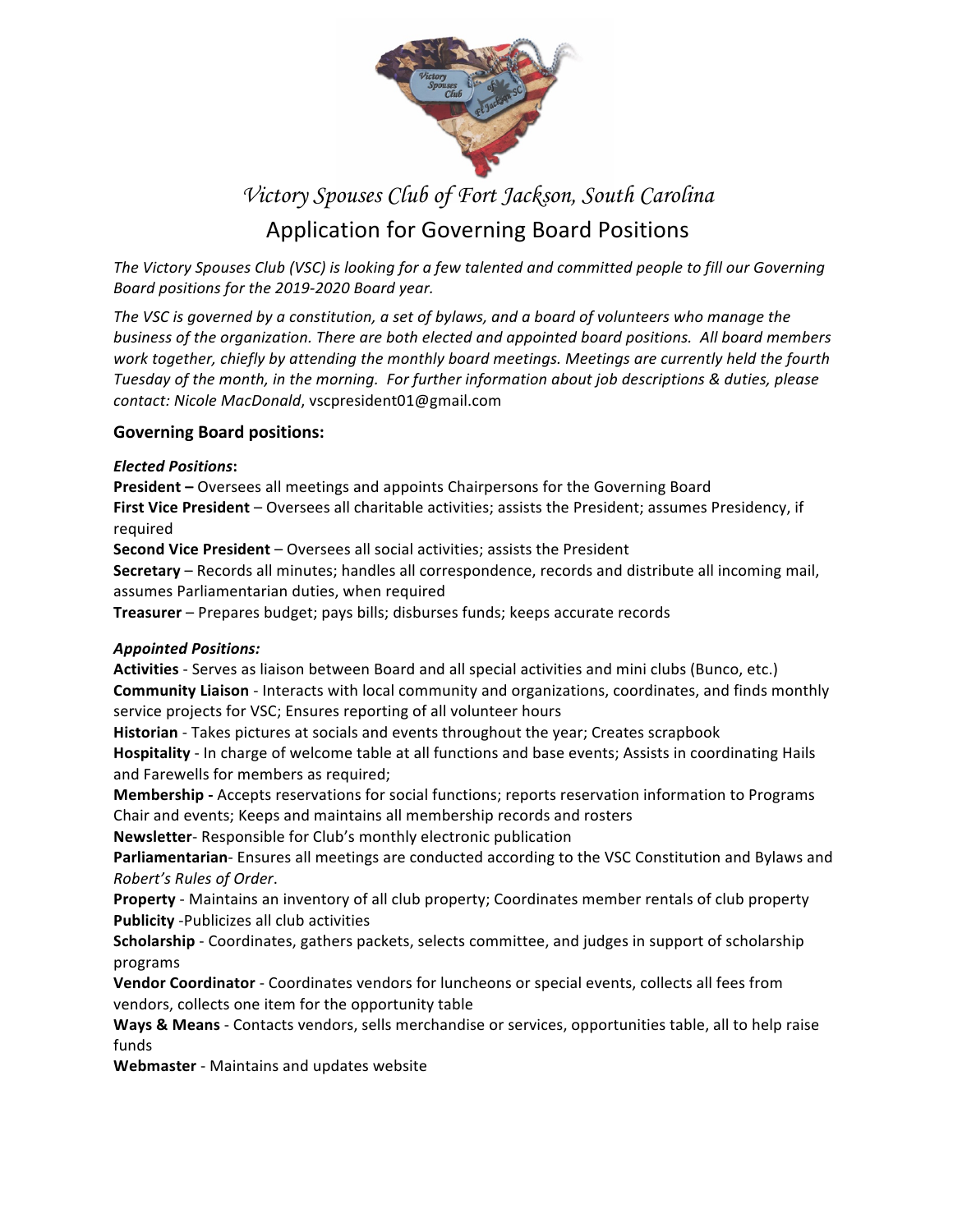

# *Victory Spouses Club of Fort Jackson, South Carolina*

## Application for Governing Board Positions

The Victory Spouses Club (VSC) is looking for a few talented and committed people to fill our Governing *Board positions for the 2019-2020 Board year.* 

The VSC is governed by a constitution, a set of bylaws, and a board of volunteers who manage the *business of the organization. There are both elected and appointed board positions. All board members work together, chiefly by attending the monthly board meetings. Meetings are currently held the fourth Tuesday of the month, in the morning. For further information about job descriptions & duties, please contact: Nicole MacDonald*, vscpresident01@gmail.com

#### **Governing Board positions:**

#### *Elected Positions***:**

**President –** Oversees all meetings and appoints Chairpersons for the Governing Board **First Vice President** – Oversees all charitable activities; assists the President; assumes Presidency, if required

**Second Vice President** – Oversees all social activities; assists the President

**Secretary** – Records all minutes; handles all correspondence, records and distribute all incoming mail, assumes Parliamentarian duties, when required

**Treasurer** – Prepares budget; pays bills; disburses funds; keeps accurate records

#### *Appointed Positions:*

**Activities** - Serves as liaison between Board and all special activities and mini clubs (Bunco, etc.) **Community Liaison** - Interacts with local community and organizations, coordinates, and finds monthly service projects for VSC; Ensures reporting of all volunteer hours

**Historian** - Takes pictures at socials and events throughout the year; Creates scrapbook **Hospitality** - In charge of welcome table at all functions and base events; Assists in coordinating Hails and Farewells for members as required;

**Membership -** Accepts reservations for social functions; reports reservation information to Programs Chair and events; Keeps and maintains all membership records and rosters

**Newsletter**- Responsible for Club's monthly electronic publication

**Parliamentarian**- Ensures all meetings are conducted according to the VSC Constitution and Bylaws and *Robert's Rules of Order*.

**Property** - Maintains an inventory of all club property; Coordinates member rentals of club property **Publicity** -Publicizes all club activities

**Scholarship** - Coordinates, gathers packets, selects committee, and judges in support of scholarship programs

**Vendor Coordinator** - Coordinates vendors for luncheons or special events, collects all fees from vendors, collects one item for the opportunity table

**Ways & Means** - Contacts vendors, sells merchandise or services, opportunities table, all to help raise funds

**Webmaster** - Maintains and updates website